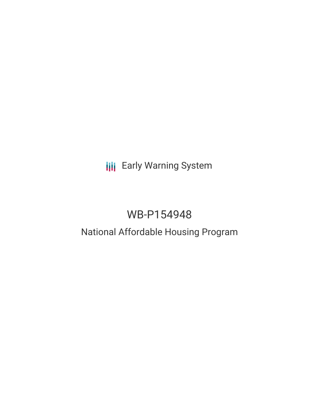**III** Early Warning System

# WB-P154948

## National Affordable Housing Program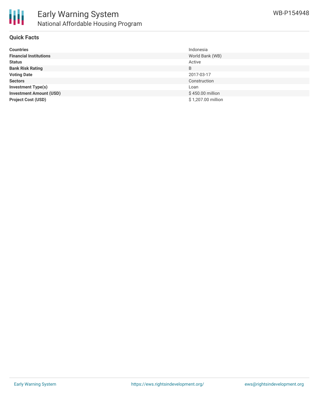

## **Quick Facts**

| <b>Countries</b>               | Indonesia          |
|--------------------------------|--------------------|
| <b>Financial Institutions</b>  | World Bank (WB)    |
| <b>Status</b>                  | Active             |
| <b>Bank Risk Rating</b>        | B                  |
| <b>Voting Date</b>             | 2017-03-17         |
| <b>Sectors</b>                 | Construction       |
| <b>Investment Type(s)</b>      | Loan               |
| <b>Investment Amount (USD)</b> | \$450.00 million   |
| <b>Project Cost (USD)</b>      | \$1,207.00 million |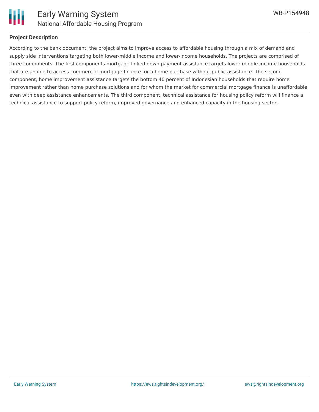

## **Project Description**

According to the bank document, the project aims to improve access to affordable housing through a mix of demand and supply side interventions targeting both lower-middle income and lower-income households. The projects are comprised of three components. The first components mortgage-linked down payment assistance targets lower middle-income households that are unable to access commercial mortgage finance for a home purchase without public assistance. The second component, home improvement assistance targets the bottom 40 percent of Indonesian households that require home improvement rather than home purchase solutions and for whom the market for commercial mortgage finance is unaffordable even with deep assistance enhancements. The third component, technical assistance for housing policy reform will finance a technical assistance to support policy reform, improved governance and enhanced capacity in the housing sector.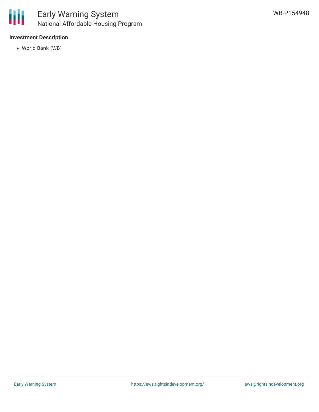

## **Investment Description**

World Bank (WB)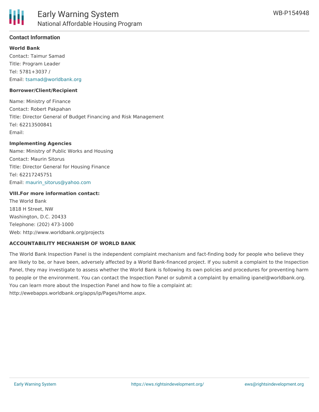

## **Contact Information**

#### **World Bank**

Contact: Taimur Samad Title: Program Leader Tel: 5781+3037 / Email: [tsamad@worldbank.org](mailto:tsamad@worldbank.org)

#### **Borrower/Client/Recipient**

Name: Ministry of Finance Contact: Robert Pakpahan Title: Director General of Budget Financing and Risk Management Tel: 62213500841 Email:

#### **Implementing Agencies**

Name: Ministry of Public Works and Housing Contact: Maurin Sitorus Title: Director General for Housing Finance Tel: 62217245751 Email: [maurin\\_sitorus@yahoo.com](mailto:maurin_sitorus@yahoo.com)

#### **VIII.For more information contact:**

The World Bank 1818 H Street, NW Washington, D.C. 20433 Telephone: (202) 473-1000 Web: http://www.worldbank.org/projects

#### **ACCOUNTABILITY MECHANISM OF WORLD BANK**

The World Bank Inspection Panel is the independent complaint mechanism and fact-finding body for people who believe they are likely to be, or have been, adversely affected by a World Bank-financed project. If you submit a complaint to the Inspection Panel, they may investigate to assess whether the World Bank is following its own policies and procedures for preventing harm to people or the environment. You can contact the Inspection Panel or submit a complaint by emailing ipanel@worldbank.org. You can learn more about the Inspection Panel and how to file a complaint at: http://ewebapps.worldbank.org/apps/ip/Pages/Home.aspx.